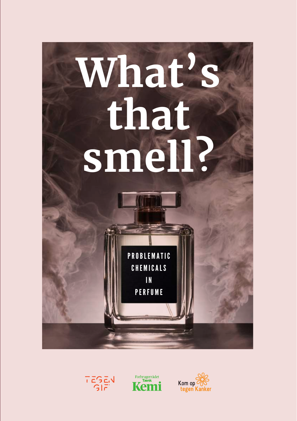





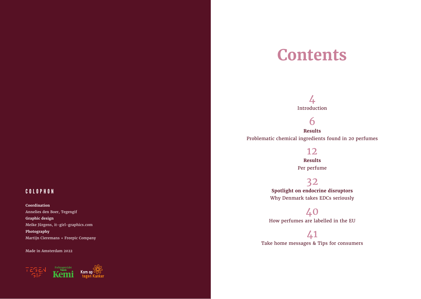### COLOPHON

**Coordination** Annelies den Boer, Tegengif **Graphic design**  Meike Jürgens, it-girl-graphics.com **Photography** Martijn Cieremans + Freepic Company

Made in Amsterdam 2022



## **Contents**

### 4

Introduction

6

**Results** Problematic chemical ingredients found in 20 perfumes

### 12

**Results** Per perfume

### 32

**Spotlight on endocrine disruptors** Why Denmark takes EDCs seriously

40 How perfumes are labelled in the EU

41 Take home messages & Tips for consumers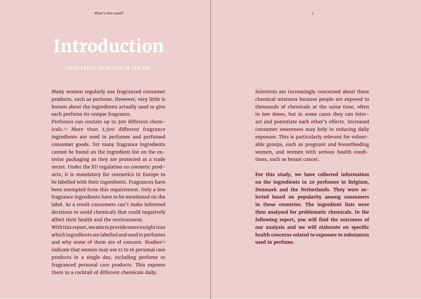## **Introduction**

Many women regularly use fragranced consumer products, such as perfume. However, very little is known about the ingredients actually used to give each perfume its unique fragrance.

Perfumes can contain up to 300 different chemicals.1,2 More than 2,500 different fragrance ingredients are used in perfumes and perfumed consumer goods. Yet many fragrance ingredients cannot be found on the ingredient list on the exterior packaging as they are protected as a trade secret. Under the EU regulation on cosmetic products, it is mandatory for cosmetics in Europe to be labelled with their ingredients. Fragrances have been exempted from this requirement. Only a few fragrance ingredients have to be mentioned on the label. As a result consumers can't make informed decisions to avoid chemicals that could negatively affect their health and the environment.

With this report, we aim to provide more insight into which ingredients are labelled and used in perfumes and why some of them are of concern. Studies<sup>3,4</sup> indicate that women may use 12 to 16 personal care products in a single day, including perfume or fragranced personal care products. This exposes them to a cocktail of different chemicals daily.

Scientists are increasingly concerned about these chemical mixtures because people are exposed to thousands of chemicals at the same time, often in low doses, but in some cases they can interact and potentiate each other's effects. Increased consumer awareness may help in reducing daily exposure. This is particularly relevant for vulnerable groups, such as pregnant and breastfeeding women, and women with serious health conditions, such as breast cancer.

**For this study, we have collected information on the ingredients in 20 perfumes in Belgium, Denmark and the Netherlands. They were selected based on popularity among consumers in these countries. The ingredient lists were then analysed for problematic chemicals. In the following report, you will find the outcomes of our analysis and we will elaborate on specific health concerns related to exposure to substances used in perfume.**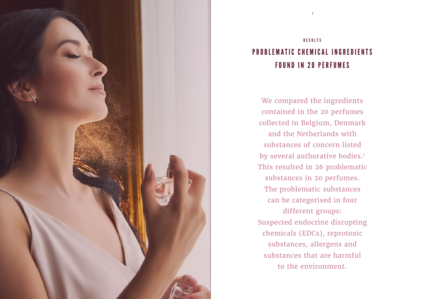

### RESULTS PROBLEMATIC CHEMICAL INGREDIENTS FOUND IN 20 PERFUMES

We compared the ingredients contained in the 20 perfumes collected in Belgium, Denmark and the Netherlands with substances of concern listed by several authorative bodies.<sup>1</sup> This resulted in 26 problematic substances in 20 perfumes. The problematic substances can be categorised in four different groups: Suspected endocrine disrupting chemicals (EDCs), reprotoxic substances, allergens and substances that are harmful to the environment.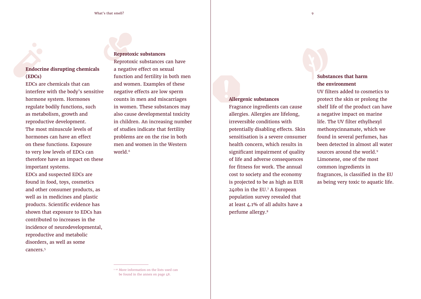#### **Endocrine disrupting chemicals (EDCs)**

EDCs are chemicals that can interfere with the body's sensitive hormone system. Hormones regulate bodily functions, such as metabolism, growth and reproductive development. The most minuscule levels of hormones can have an effect on these functions. Exposure to very low levels of EDCs can therefore have an impact on these important systems. EDCs and suspected EDCs are found in food, toys, cosmetics and other consumer products, as well as in medicines and plastic products. Scientific evidence has shown that exposure to EDCs has contributed to increases in the incidence of neurodevelopmental, reproductive and metabolic disorders, as well as some cancers.5

#### **Reprotoxic substances**

Reprotoxic substances can have a negative effect on sexual function and fertility in both men and women. Examples of these negative effects are low sperm counts in men and miscarriages in women. These substances may also cause developmental toxicity in children. An increasing number of studies indicate that fertility problems are on the rise in both men and women in the Western world.<sup>6</sup>

#### **Allergenic substances**

Fragrance ingredients can cause allergies. Allergies are lifelong, irreversible conditions with potentially disabling effects. Skin sensitisation is a severe consumer health concern, which results in significant impairment of quality of life and adverse consequences for fitness for work. The annual cost to society and the economy is projected to be as high as EUR 240bn in the EU.7 A European population survey revealed that at least 4.1% of all adults have a perfume allergy.8

#### **Substances that harm the environment**

UV filters added to cosmetics to protect the skin or prolong the shelf life of the product can have a negative impact on marine life. The UV filter ethylhexyl methoxycinnamate, which we found in several perfumes, has been detected in almost all water sources around the world.<sup>9</sup> Limonene, one of the most common ingredients in fragrances, is classified in the EU as being very toxic to aquatic life.

<sup>&</sup>lt;sup>1-26</sup> More information on the lists used can be found in the annex on page 48.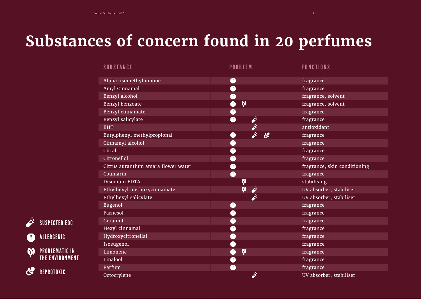## **Substances of concern found in 20 perfumes**

| <b>SUBSTANCE</b>                    | <b>PROBLEM</b>                                        | <b>FUNCTIONS</b>             |
|-------------------------------------|-------------------------------------------------------|------------------------------|
| Alpha-isomethyl ionone              | $\bullet$                                             | fragrance                    |
| Amyl Cinnamal                       | $\bullet$                                             | fragrance                    |
| Benzyl alcohol                      | $\mathbf 0$                                           | fragrance, solvent           |
| Benzyl benzoate                     | $\boldsymbol{\omega}$<br>$\mathbf 0$                  | fragrance, solvent           |
| Benzyl cinnamate                    | $\bullet$                                             | fragrance                    |
| Benzyl salicylate                   | ö<br>$\bullet$                                        | fragrance                    |
| <b>BHT</b>                          | È                                                     | antioxidant                  |
| Butylphenyl methylpropional         | $\dot{\hat{\varphi}}$<br>$\mathcal{S}$<br>$\mathbf 0$ | fragrance                    |
| Cinnamyl alcohol                    | $\mathbf 0$                                           | fragrance                    |
| Citral                              | $\mathbf 0$                                           | fragrance                    |
| Citronellol                         | $\bullet$                                             | fragrance                    |
| Citrus aurantium amara flower water | $\bullet$                                             | fragrance, skin conditioning |
| Coumarin                            | $\bullet$                                             | fragrance                    |
| Disodium EDTA                       | $\boldsymbol{\omega}$                                 | stabilising                  |
| Ethylhexyl methoxycinnamate         | $\boldsymbol{\varphi}$<br>Ö                           | UV absorber, stabiliser      |
| Ethylhexyl salicylate               | ö                                                     | UV absorber, stabiliser      |
| Eugenol                             | $\bullet$                                             | fragrance                    |
| Farnesol                            | $\mathbf 0$                                           | fragrance                    |
| Geraniol                            | $\bullet$                                             | fragrance                    |
| Hexyl cinnamal                      | $\bullet$                                             | fragrance                    |
| Hydroxycitronellal                  | $\bullet$                                             | fragrance                    |
| Isoeugenol                          | $\bullet$                                             | fragrance                    |
| Limonene                            | $\boldsymbol{\omega}$<br>$\bullet$                    | fragrance                    |
| Linalool                            | $\mathbf 0$                                           | fragrance                    |
| Parfum                              | $\bullet$                                             | fragrance                    |
| Octocrylene                         | Ö                                                     | UV absorber, stabiliser      |

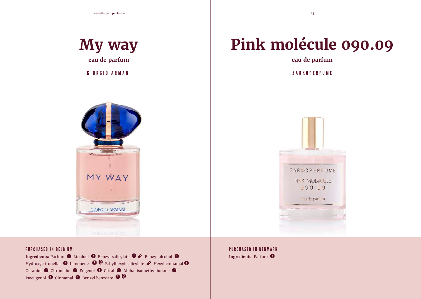## **My way eau de parfum**

GIORGIO ARMANI ZARKOPERFUME



## **Pink molécule 090.09**

**eau de parfum**



#### PURCHASED IN BELGIUM

**Ingredients:** Parfum  $\bullet$  Linalool  $\bullet$  Benzyl salicylate  $\bullet \n\dot{\bullet}$  Benzyl alcohol  $\bullet$ Hydroxycitronellal  $\bullet$  Limonene  $\bullet$   $\bullet$  Ethylhexyl salicylate  $\dot{\mathscr{E}}$  Hexyl cinnamal  $\bullet$ Geraniol  $\bullet$  Citronellol  $\bullet$  Eugenol  $\bullet$  Citral  $\bullet$  Alpha-isomethyl ionone  $\bullet$ Isoeugenol  $\bullet$  Cinnamal  $\bullet$  Benzyl benzoate  $\bullet$   $\bullet$ 

PURCHASED IN DENMARK **Ingredients:** Parfum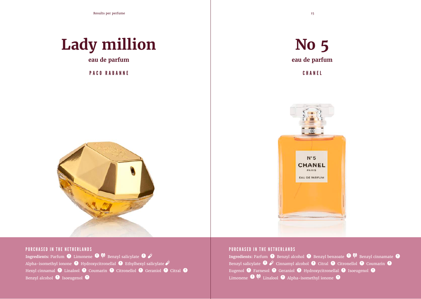

**eau de parfum**

PACO RABANNE CHANEL







#### PURCHASED IN THE NETHERLANDS

**Ingredients:** Parfum  $\bullet$  Limonene  $\bullet$   $\bullet$  Benzyl salicylate  $\bullet$   $\phi$ Alpha-isomethyl ionone  $\bullet$  Hydroxycitronellal  $\bullet$  Ethylhexyl salicylate  $\hat{\mathcal{S}}$ Hexyl cinnamal  $\bullet$  Linalool  $\bullet$  Coumarin  $\bullet$  Citronellol  $\bullet$  Geraniol  $\bullet$  Citral  $\bullet$ Benzyl alcohol  $\bigoplus$  Isoeugenol  $\bigoplus$ 

#### PURCHASED IN THE NETHERLANDS

**Ingredients:** Parfum  $\bullet$  Benzyl alcohol  $\bullet$  Benzyl benzoate  $\bullet$  Benzyl cinnamate  $\bullet$ Benzyl salicylate  $\bullet \nightharpoonup$  Cinnamyl alcohol  $\bullet$  Citral  $\bullet$  Citronellol  $\bullet$  Coumarin  $\bullet$ Eugenol <sup>O</sup> Farnesol O Geraniol O Hydroxycitronellal O Isoeugenol O Limonene  $\bigoplus$   $\emptyset$  Linalool  $\bigoplus$  Alpha-isomethyl ionone  $\bigoplus$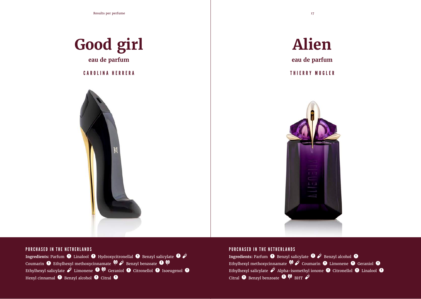

**I**e





**Ingredients: Parfum**  $\bullet$  Linalool  $\bullet$  Hydroxycitronellal  $\bullet$  Benzyl salicylate  $\bullet \neq$ Coumarin  $\bullet$  Ethylhexyl methoxycinnamate  $\bullet \bullet$  Benzyl benzoate  $\bullet \bullet$ Ethylhexyl salicylate  $\dot{\varphi}$  Limonene  $\mathbf 0$   $\mathbf \mathbf \Psi$  Geraniol  $\mathbf 0$  Citronellol  $\mathbf 0$  Isoeugenol  $\mathbf 0$ Hexyl cinnamal  $\bullet$  Benzyl alcohol  $\bullet$  Citral  $\bullet$ 

#### PURCHASED IN THE NETHERLANDS

**Ingredients:** Parfum  $\bullet$  Benzyl salicylate  $\bullet$  **Benzyl alcohol**  $\bullet$ Ethylhexyl methoxycinnamate  $\bigcirc$   $\bullet$  Coumarin  $\bullet$  Limonene  $\bullet$  Geraniol  $\bullet$ Ethylhexyl salicylate  $\dot{\mathbf{\mathcal{S}}}$  Alpha-isomethyl ionone  $\mathbf 0$  Citronellol  $\mathbf 0$  Linalool  $\mathbf 0$ Citral  $\bullet$  Benzyl benzoate  $\bullet$   $\bullet$  BHT  $\dot{\diamond}$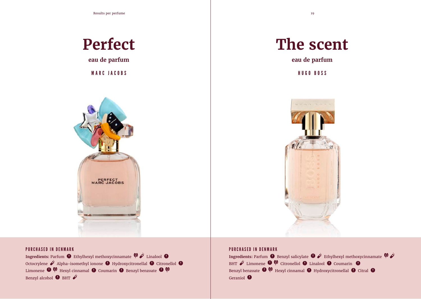Results per perfume 19

### **Perfect**

**eau de parfum**

MARC JACOBS HUGO BOSS



## **The scent**

**eau de parfum**



#### PURCHASED IN DENMARK

**Ingredients:** Parfum  $\bullet$  Ethylhexyl methoxycinnamate  $\bullet \bullet$  Linalool  $\bullet$ Octocrylene  $\dot{\mathcal{L}}$  Alpha-isomethyl ionone  $\mathbf 0$  Hydroxycitronellal  $\mathbf 0$  Citronellol  $\mathbf 0$ Limonene  $\bigoplus$   $\emptyset$  Hexyl cinnamal  $\bigoplus$  Coumarin  $\bigoplus$  Benzyl benzoate  $\bigoplus$   $\emptyset$ Benzyl alcohol  $\bigoplus$  BHT  $\overrightarrow{\mathcal{S}}$ 

#### PURCHASED IN DENMARK

**Ingredients:** Parfum  $\bullet$  Benzyl salicylate  $\bullet \neq$  Ethylhexyl methoxycinnamate  $\bullet \neq$ BHT  $\dot{\varphi}$  Limonene  $\boldsymbol{\Theta}$   $\boldsymbol{\mathsf{\mathbb{V}}}$  Citronellol  $\boldsymbol{\Theta}$  Linalool  $\boldsymbol{\Theta}$  Coumarin  $\boldsymbol{\Theta}$ Benzyl benzoate  $\bullet$   $\bullet$  Hexyl cinnamal  $\bullet$  Hydroxycitronellal  $\bullet$  Citral  $\bullet$ Geraniol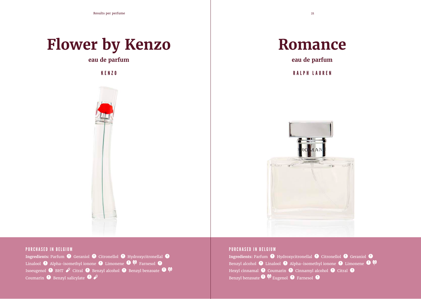## **Flower by Kenzo**

**eau de parfum**





**eau de parfum**

KENZO RALPH LAUREN



#### PURCHASED IN BELGIUM

Ingredients: Parfum  $\bullet$  Geraniol  $\bullet$  Citronellol  $\bullet$  Hydroxycitronellal  $\bullet$ Linalool  $\bigoplus$  Alpha-isomethyl ionone  $\bigoplus$  Limonene  $\bigoplus$   $\bigcirc$  Farnesol  $\bigoplus$ Isoeugenol  $\bullet$  BHT  $\dot{\mathcal{S}}$  Citral  $\bullet$  Benzyl alcohol  $\bullet$  Benzyl benzoate  $\bullet$   $\emptyset$ Coumarin  $\bullet$  Benzyl salicylate  $\bullet \nrightarrow$ 

#### PURCHASED IN BELGIUM

**Ingredients: Parfum**  $\bullet$  **Hydroxycitronellal**  $\bullet$  **Citronellol**  $\bullet$  **Geraniol**  $\bullet$ Benzyl alcohol  $\bigcirc$  Linalool  $\bigcirc$  Alpha-isomethyl ionone  $\bigcirc$  Limonene  $\bigcirc$   $\emptyset$ Hexyl cinnamal  $\bullet$  Coumarin  $\bullet$  Cinnamyl alcohol  $\bullet$  Citral  $\bullet$ Benzyl benzoate  $\mathbf{\Theta} \otimes \mathbb{R}$  Eugenol  $\mathbf{\Theta}$  Farnesol  $\mathbf{\Theta}$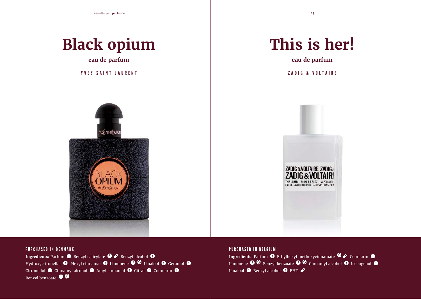Results per perfume 23



**eau de parfum**

YVES SAINT LAURENT ZADIG & VOLTAIRE



## **This is her!**

**eau de parfum**



#### PURCHASED IN DENMARK

**Ingredients:** Parfum **O** Benzyl salicylate  $\bullet \neq$  Benzyl alcohol **O** Hydroxycitronellal  $\bullet$  Hexyl cinnamal  $\bullet$  Limonene  $\bullet$   $\bullet$  Linalool  $\bullet$  Geraniol  $\bullet$ Citronellol  $\bullet$  Cinnamyl alcohol  $\bullet$  Amyl cinnamal  $\bullet$  Citral  $\bullet$  Coumarin  $\bullet$ Benzyl benzoate  $\bigoplus$ 

#### PURCHASED IN BELGIUM

**Ingredients:** Parfum  $\bullet$  Ethylhexyl methoxycinnamate  $\bullet \nearrow$  Coumarin  $\bullet$ Limonene  $\bullet$   $\bullet$  Benzyl benzoate  $\bullet$   $\bullet$  Cinnamyl alcohol  $\bullet$  Isoeugenol  $\bullet$ Linalool  $\bigoplus$  Benzyl alcohol  $\bigoplus$  BHT  $\overrightarrow{\mathcal{S}}$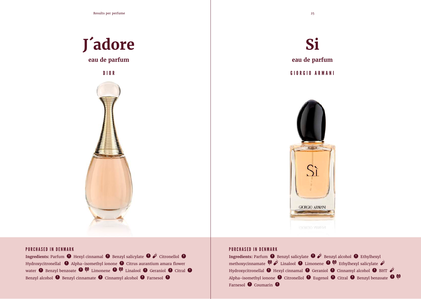Results per perfume 25

# **J´adore**

**eau de parfum**







#### PURCHASED IN DENMARK

**Ingredients: Parfum**  $\bullet$  **Hexyl cinnamal**  $\bullet$  **Benzyl salicylate**  $\bullet \n\hat{\bullet}$  **Citronellol**  $\bullet$ Hydroxycitronellal  $\bullet$  Alpha-isomethyl ionone  $\bullet$  Citrus aurantium amara flower water  $\bigoplus$  Benzyl benzoate  $\bigoplus$   $\emptyset$  Limonene  $\bigoplus$   $\emptyset$  Linalool  $\bigoplus$  Geraniol  $\bigoplus$  Citral  $\bigoplus$ Benzyl alcohol  $\bullet$  Benzyl cinnamate  $\bullet$  Cinnamyl alcohol  $\bullet$  Farnesol  $\bullet$ 

#### PURCHASED IN DENMARK

**Ingredients:** Parfum  $\bullet$  Benzyl salicylate  $\bullet \neq$  Benzyl alcohol  $\bullet$  Ethylhexyl methoxycinnamate  $\mathbf{\hat{P}} \times \mathbf{L}$  Linalool  $\mathbf{O}$  Limonene  $\mathbf{O} \mathbf{\hat{P}}$  Ethylhexyl salicylate  $\mathbf{\hat{P}}$ Hydroxycitronellal  $\bullet$  Hexyl cinnamal  $\bullet$  Geraniol  $\bullet$  Cinnamyl alcohol  $\bullet$  BHT  $\dot{\mathscr{E}}$ Alpha-isomethyl ionone  $\bullet$  Citronellol  $\bullet$  Eugenol  $\bullet$  Citral  $\bullet$  Benzyl benzoate  $\bullet \, \emptyset$ Farnesol **O** Coumarin **O**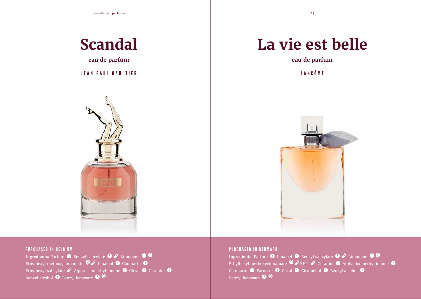### **Scandal**

**eau de parfum**

#### JEAN PAUL GAULTIER



## **La vie est belle**

**eau de parfum**

LANCÔME



#### PURCHASED IN BELGIUM

**Ingredients:** Parfum  $\overline{\bullet}$  Benzyl salicylate  $\overline{\bullet}$   $\overrightarrow{F}$  Limonene  $\overline{\bullet}$ Ethylhexyl methoxycinnamate  $\mathbf{\hat{P}} \times \mathbf{L}$  Linalool  $\mathbf 0$  Coumarin  $\mathbf 0$ Ethylhexyl salicylate  $\ddot{\mathcal{O}}$  Alpha-isomethyl ionone  $\bullet$  Citral  $\bullet$  Geraniol  $\bullet$ Benzyl alcohol  $\bullet$  Benzyl benzoate  $\bullet$   $\bullet$ 

#### PURCHASED IN DENMARK

**Ingredients: Parfum**  $\overline{\mathbf{0}}$  **Linalool**  $\overline{\mathbf{0}}$  **Benzyl salicylate**  $\overline{\mathbf{0}}$  $\overrightarrow{\mathbf{y}}$  **Limonene**  $\overline{\mathbf{0}}$  $\overline{\mathbf{y}}$ Ethylhexyl methoxycinnamate  $\Psi \dot{\mathcal{S}}$  BHT  $\dot{\mathcal{S}}$  Geraniol  $\blacksquare$  Alpha-isomethyl ionone  $\blacksquare$ Coumarin  $\bullet$  Farnesol  $\bullet$  Citral  $\bullet$  Citronellol  $\bullet$  Benzyl alcohol  $\bullet$ Benzyl benzoate  $\bigcirc$   $\mathbb{Q}$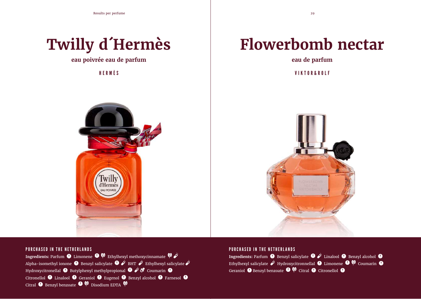

**eau poivrée eau de parfum**

## **Flowerbomb nectar**

**eau de parfum**

HERMÈS VIKTOR&ROLF





#### PURCHASED IN THE NETHERLANDS

**Ingredients:** Parfum  $\bullet$  Limonene  $\bullet$   $\bullet$  Ethylhexyl methoxycinnamate  $\bullet$ Alpha-isomethyl ionone **O** Benzyl salicylate  $\bullet$  **BHT**  $\bullet$  Ethylhexyl salicylate  $\bullet$ Hydroxycitronellal  $\bullet$  Butylphenyl methylpropional  $\bullet \nearrow \bullet$  Coumarin  $\bullet$ Citronellol  $\bullet$  Linalool  $\bullet$  Geraniol  $\bullet$  Eugenol  $\bullet$  Benzyl alcohol  $\bullet$  Farnesol  $\bullet$ Citral  $\bullet$  Benzyl benzoate  $\bullet$   $\bullet$  Disodium EDTA  $\bullet$ 

#### PURCHASED IN THE NETHERLANDS

**Ingredients:** Parfum  $\bullet$  Benzyl salicylate  $\bullet$   $\overrightarrow{P}$  Linalool  $\bullet$  Benzyl alcohol  $\bullet$ Ethylhexyl salicylate  $\ddot{\mathcal{S}}$  Hydroxycitronnellal  $\bullet$  Limonene  $\bullet$   $\bullet$  Coumarin  $\bullet$ Geraniol  $\bigoplus$  Benzyl benzoate  $\bigoplus$   $\bigotimes$  Citral  $\bigoplus$  Citronellol  $\bigoplus$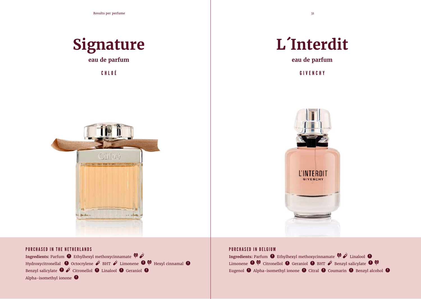

**eau de parfum**



## **L´Interdit**

**eau de parfum**

CHLOÉ GIVENCHY



#### PURCHASED IN THE NETHERLANDS

**Ingredients: Parfum**  $\bullet$  **Ethylhexyl methoxycinnamate**  $\bullet \bullet$ Hydroxycitronellal  $\bullet$  Octocrylene  $\dot{\mathcal{E}}$  BHT  $\dot{\mathcal{E}}$  Limonene  $\bullet$   $\bullet$  Hexyl cinnamal  $\bullet$ Benzyl salicylate  $\mathbf{\Theta} \nleq$  Citronellol  $\mathbf{\Theta}$  Linalool  $\mathbf{\Theta}$  Geraniol  $\mathbf{\Theta}$ Alpha-isomethyl ionone

#### PURCHASED IN BELGIUM

**Ingredients:** Parfum  $\bullet$  Ethylhexyl methoxycinnamate  $\bullet \bullet$  Linalool  $\bullet$ Limonene  $\bullet$   $\lozenge$  Citronellol  $\bullet$  Geraniol  $\bullet$  BHT  $\dot{\nearrow}$  Benzyl salicylate  $\bullet$   $\lozenge$ Eugenol  $\bullet$  Alpha-isomethyl ionone  $\bullet$  Citral  $\bullet$  Coumarin  $\bullet$  Benzyl alcohol  $\bullet$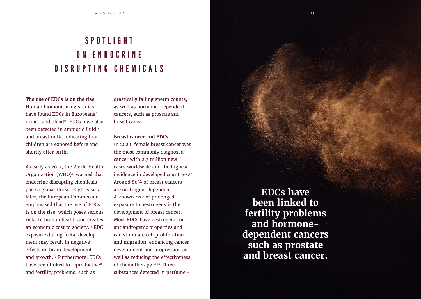### S P O T L I G H T O N E N D O C R I N E D I S R U P T I N G C H E M I C A I S

**The use of EDCs is on the rise** Human biomonitoring studies have found EDCs in Europeans'  $urine^{10}$  and blood<sup>11</sup>. EDCs have also been detected in amniotic fluid<sup>12</sup> and breast milk, indicating that children are exposed before and shortly after birth.

As early as 2012, the World Health Organization (WHO) $13$  warned that endocrine disrupting chemicals pose a global threat. Eight years later, the European Commission emphasised that the use of EDCs is on the rise, which poses serious risks to human health and creates an economic cost to society.14 EDC exposure during foetal development may result in negative effects on brain development and growth.15 Furthermore, EDCs have been linked to reproductive<sup>16</sup> and fertility problems, such as

drastically falling sperm counts, as well as hormone-dependent cancers, such as prostate and breast cancer.

#### **Breast cancer and EDCs**

In 2020, female breast cancer was the most commonly diagnosed cancer with 2.3 million new cases worldwide and the highest incidence in developed countries.<sup>17</sup> Around 80% of breast cancers are oestrogen-dependent. A known risk of prolonged exposure to oestrogens is the development of breast cancer. Most EDCs have oestrogenic or antiandrogenic properties and can stimulate cell proliferation and migration, enhancing cancer development and progression as well as reducing the effectiveness of chemotherapy.18,19 Three substances detected in perfume -

**EDCs have been linked to fertility problems and hormonedependent cancers such as prostate and breast cancer.**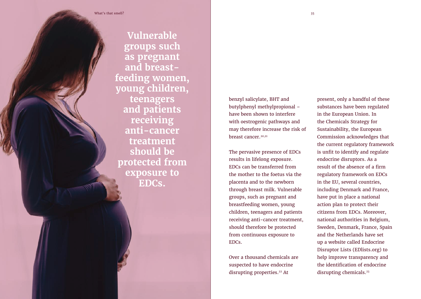**Vulnerable groups such as pregnant and breastfeeding women, young children, teenagers and patients receiving anti-cancer treatment should be protected from exposure to EDCs.**

benzyl salicylate, BHT and butylphenyl methylpropional – have been shown to interfere with oestrogenic pathways and may therefore increase the risk of breast cancer.20,21

The pervasive presence of EDCs results in lifelong exposure. EDCs can be transferred from the mother to the foetus via the placenta and to the newborn through breast milk. Vulnerable groups, such as pregnant and breastfeeding women, young children, teenagers and patients receiving anti-cancer treatment, should therefore be protected from continuous exposure to EDCs.

Over a thousand chemicals are suspected to have endocrine disrupting properties.<sup>22</sup> At

present, only a handful of these substances have been regulated in the European Union. In the Chemicals Strategy for Sustainability, the European Commission acknowledges that the current regulatory framework is unfit to identify and regulate endocrine disruptors. As a result of the absence of a firm regulatory framework on EDCs in the EU, several countries, including Denmark and France, have put in place a national action plan to protect their citizens from EDCs. Moreover, national authorities in Belgium, Sweden, Denmark, France, Spain and the Netherlands have set up a website called Endocrine Disruptor Lists (EDlists.org) to help improve transparency and the identification of endocrine disrupting chemicals.<sup>23</sup>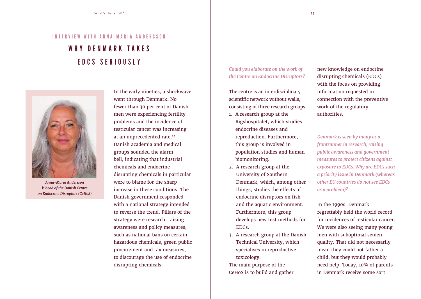### INTERVIEW WITH ANNA-MARIA ANDERSSON WHY DENMARK TAKES E D C S S E R I O U S L Y



*Anna-Maria Andersson is head of the Danish Centre on Endocrine Disruptors (CeHoS)*

In the early nineties, a shockwave went through Denmark. No fewer than 30 per cent of Danish men were experiencing fertility problems and the incidence of testicular cancer was increasing at an unprecedented rate.24 Danish academia and medical groups sounded the alarm bell, indicating that industrial chemicals and endocrine disrupting chemicals in particular were to blame for the sharp increase in these conditions. The Danish government responded with a national strategy intended to reverse the trend. Pillars of the strategy were research, raising awareness and policy measures, such as national bans on certain hazardous chemicals, green public procurement and tax measures, to discourage the use of endocrine disrupting chemicals.

*Could you elaborate on the work of the Centre on Endocrine Disruptors?*

The centre is an interdisciplinary scientific network without walls, consisting of three research groups.

- 1. A research group at the Rigshospitalet, which studies endocrine diseases and reproduction. Furthermore, this group is involved in population studies and human biomonitoring.
- 2. A research group at the University of Southern Denmark, which, among other things, studies the effects of endocrine disruptors on fish and the aquatic environment. Furthermore, this group develops new test methods for EDCs.
- 3. A research group at the Danish Technical University, which specialises in reproductive toxicology.

The main purpose of the CeHoS is to build and gather new knowledge on endocrine disrupting chemicals (EDCs) with the focus on providing information requested in connection with the preventive work of the regulatory authorities.

*Denmark is seen by many as a frontrunner in research, raising public awareness and government measures to protect citizens against exposure to EDCs. Why are EDCs such a priority issue in Denmark (whereas other EU countries do not see EDCs as a problem)?*

In the 1990s, Denmark regrettably held the world record for incidences of testicular cancer. We were also seeing many young men with suboptimal semen quality. That did not necessarily mean they could not father a child, but they would probably need help. Today, 10% of parents in Denmark receive some sort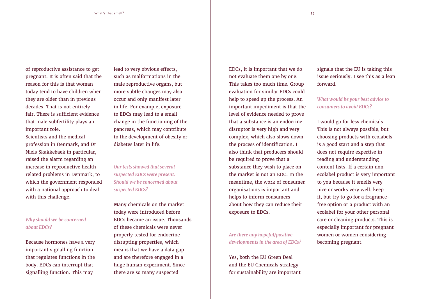of reproductive assistance to get pregnant. It is often said that the reason for this is that woman today tend to have children when they are older than in previous decades. That is not entirely fair. There is sufficient evidence that male subfertility plays an important role.

Scientists and the medical profession in Denmark, and Dr Niels Skakkebaek in particular, raised the alarm regarding an increase in reproductive healthrelated problems in Denmark, to which the government responded with a national approach to deal with this challenge.

#### *Why should we be concerned about EDCs?*

Because hormones have a very important signalling function that regulates functions in the body. EDCs can interrupt that signalling function. This may

lead to very obvious effects, such as malformations in the male reproductive organs, but more subtle changes may also occur and only manifest later in life. For example, exposure to EDCs may lead to a small change in the functioning of the pancreas, which may contribute to the development of obesity or diabetes later in life.

*Our tests showed that several suspected EDCs were present. Should we be concerned aboutsuspected EDCs?*

Many chemicals on the market today were introduced before EDCs became an issue. Thousands of these chemicals were never properly tested for endocrine disrupting properties, which means that we have a data gap and are therefore engaged in a huge human experiment. Since there are so many suspected

EDCs, it is important that we do not evaluate them one by one. This takes too much time. Group evaluation for similar EDCs could help to speed up the process. An important impediment is that the level of evidence needed to prove that a substance is an endocrine disruptor is very high and very complex, which also slows down the process of identification. I also think that producers should be required to prove that a substance they wish to place on the market is not an EDC. In the meantime, the work of consumer organisations is important and helps to inform consumers about how they can reduce their exposure to EDCs.

#### *Are there any hopeful/positive developments in the area of EDCs?*

Yes, both the EU Green Deal and the EU Chemicals strategy for sustainability are important signals that the EU is taking this issue seriously. I see this as a leap forward.

*What would be your best advice to consumers to avoid EDCs?* 

I would go for less chemicals. This is not always possible, but choosing products with ecolabels is a good start and a step that does not require expertise in reading and understanding content lists. If a certain nonecolabel product is very important to you because it smells very nice or works very well, keep it, but try to go for a fragrancefree option or a product with an ecolabel for your other personal care or cleaning products. This is especially important for pregnant women or women considering becoming pregnant.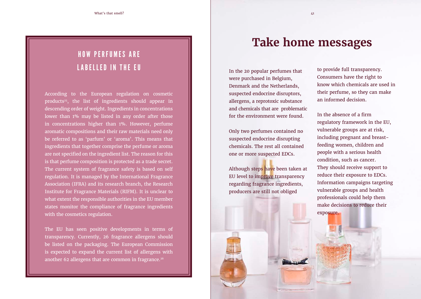### HOW PERFUMES ARE LABELLED IN THE EU

According to the European regulation on cosmetic products<sup>25</sup>, the list of ingredients should appear in descending order of weight. Ingredients in concentrations lower than 1% may be listed in any order after those in concentrations higher than 1%. However, perfume aromatic compositions and their raw materials need only be referred to as 'parfum' or 'aroma'. This means that ingredients that together comprise the perfume or aroma are not specified on the ingredient list. The reason for this is that perfume composition is protected as a trade secret. The current system of fragrance safety is based on self regulation. It is managed by the International Fragrance Association (IFRA) and its research branch, the Research Institute for Fragrance Materials (RIFM). It is unclear to what extent the responsible authorities in the EU member states monitor the compliance of fragrance ingredients with the cosmetics regulation.

The EU has seen positive developments in terms of transparency. Currently, 26 fragrance allergens should be listed on the packaging. The European Commission is expected to expand the current list of allergens with another 62 allergens that are common in fragrance.<sup>26</sup>

### **Take home messages**

In the 20 popular perfumes that were purchased in Belgium, Denmark and the Netherlands, suspected endocrine disruptors, allergens, a reprotoxic substance and chemicals that are problematic for the environment were found.

Only two perfumes contained no suspected endocrine disrupting chemicals. The rest all contained one or more suspected EDCs.

Although steps have been taken at EU level to improve transparency regarding fragrance ingredients, producers are still not obliged

to provide full transparency. Consumers have the right to know which chemicals are used in their perfume, so they can make an informed decision.

In the absence of a firm regulatory framework in the EU, vulnerable groups are at risk, including pregnant and breastfeeding women, children and people with a serious health condition, such as cancer. They should receive support to reduce their exposure to EDCs. Information campaigns targeting vulnerable groups and health professionals could help them make decisions to reduce their exposure.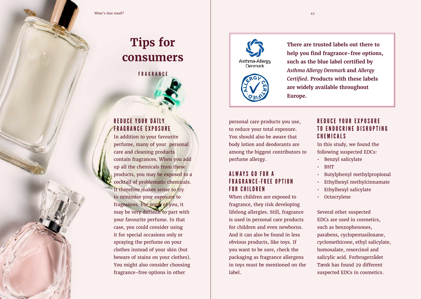### **Tips for consumers**

FRAGRANCE

#### REDUCE YOUR DAILY FRAGRANCE EXPOSURE

In addition to your favourite perfume, many of your personal care and cleaning products contain fragrances. When you add up all the chemicals from these products, you may be exposed to a cocktail of problematic chemicals. It therefore makes sense to try to minimise your exposure to fragrances. For some of you, it may be very difficult to part with your favourite perfume. In that case, you could consider using it for special occasions only or spraying the perfume on your clothes instead of your skin (but beware of stains on your clothes). You might also consider choosing fragrance-free options in other





**There are trusted labels out there to help you find fragrance-free options, such as the blue label certified by** *Asthma Allergy Denmark* **and** *Allergy Certified***. Products with these labels are widely available throughout Europe.** 

personal care products you use, to reduce your total exposure. You should also be aware that body lotion and deodorants are among the biggest contributors to perfume allergy.

#### ALWAYS GO FOR A F R A G R A N C E - F R E E O P T I O N FOR CHILDREN

When children are exposed to fragrance, they risk developing lifelong allergies. Still, fragrance is used in personal care products for children and even newborns. And it can also be found in less obvious products, like toys. If you want to be sure, check the packaging as fragrance allergens in toys must be mentioned on the label.

#### REDUCE YOUR EXPOSURE TO ENDOCRINE DISRUPTING C H E M I C A L S

In this study, we found the following suspected EDCs:

• Benzyl salicylate

- BHT
- Butylphenyl methylpropional
- Ethylhexyl methylcinnamate
- Ethylhexyl salicylate
- Octocrylene

Several other suspected EDCs are used in cosmetics, such as benzophenones, parabens, cyclopentasiloxane, cyclomethicone, ethyl salicylate, homosalate, resorcinol and salicylic acid. Forbrugerrådet Tænk has found 29 different suspected EDCs in cosmetics.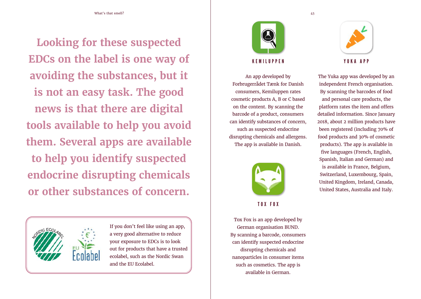What's that smell? A set of the set of the set of the set of the set of the set of the set of the set of the set of the set of the set of the set of the set of the set of the set of the set of the set of the set of the set

**Looking for these suspected EDCs on the label is one way of avoiding the substances, but it is not an easy task. The good news is that there are digital tools available to help you avoid them. Several apps are available to help you identify suspected endocrine disrupting chemicals or other substances of concern.** 



If you don't feel like using an app, a very good alternative to reduce your exposure to EDCs is to look out for products that have a trusted ecolabel, such as the Nordic Swan and the EU Ecolabel.



#### KEMILUPPEN

An app developed by Forbrugerrådet Tænk for Danish consumers, Kemiluppen rates cosmetic products A, B or C based on the content. By scanning the barcode of a product, consumers can identify substances of concern, such as suspected endocrine disrupting chemicals and allergens. The app is available in Danish.



TOX FOX

Tox Fox is an app developed by German organisation BUND. By scanning a barcode, consumers can identify suspected endocrine disrupting chemicals and nanoparticles in consumer items such as cosmetics. The app is available in German.



The Yuka app was developed by an independent French organisation. By scanning the barcodes of food and personal care products, the platform rates the item and offers detailed information. Since January 2018, about 2 million products have been registered (including 70% of food products and 30% of cosmetic products). The app is available in five languages (French, English, Spanish, Italian and German) and is available in France, Belgium, Switzerland, Luxembourg, Spain, United Kingdom, Ireland, Canada, United States, Australia and Italy.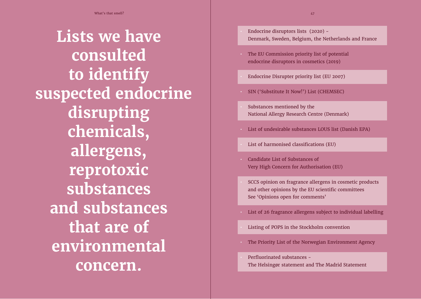# **Lists we have consulted to identify suspected endocrine disrupting chemicals, allergens, reprotoxic substances and substances that are of environmental concern.**

- Endocrine disruptors lists (2020) Denmark, Sweden, Belgium, the Netherlands and France
- The EU Commission priority list of potential endocrine disruptors in cosmetics (2019)
- Endocrine Disrupter priority list (EU 2007)
- SIN ('Substitute It Now!') List (CHEMSEC)
- Substances mentioned by the National Allergy Research Centre (Denmark)
- List of undesirable substances LOUS list (Danish EPA)
- List of harmonised classifications (EU)
- Candidate List of Substances of Very High Concern for Authorisation (EU)
- SCCS opinion on fragrance allergens in cosmetic products and other opinions by the EU scientific committees See 'Opinions open for comments'
- List of 26 fragrance allergens subject to individual labelling
- Listing of POPS in the Stockholm convention
- The Priority List of the Norwegian Environment Agency
- Perfluorinated substances The Helsingør statement and The Madrid Statement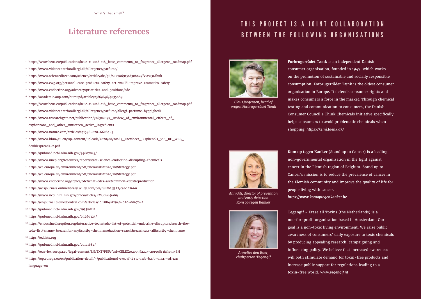### **Literature references**

- 1 https://www.beuc.eu/publications/beuc-x-2018-118\_beuc\_comments\_to\_fragrance\_allergens\_roadmap.pdf
- 2 https://www.videncenterforallergi.dk/allergener/parfume/
- 3 https://www.sciencedirect.com/science/article/abs/pii/S0278691518308627?via%3Dihub
- <sup>4</sup> https://www.ewg.org/personal-care-products-safety-act-would-improve-cosmetics-safety
- 5 https://www.endocrine.org/advocacy/priorities-and-positions/edc
- 6 https://academic.oup.com/humupd/article/23/6/646/4035689
- 7 https://www.beuc.eu/publications/beuc-x-2018-118\_beuc\_comments\_to\_fragrance\_allergens\_roadmap.pdf
- 8 https://www.videncenterforallergi.dk/allergener/parfume/allergi-parfume-hyppighed/
- <sup>9</sup> https://www.researchgate.net/publication/326302079\_Review\_of\_environmental\_effects\_of oxybenzone\_and\_other\_sunscreen\_active\_ingredients
- <sup>10</sup> https://www.nature.com/articles/s41598-020-66284-3
- <sup>11</sup> https://www.hbm4eu.eu/wp-content/uploads/2020/08/20165\_Factsheet\_Bisphenols\_v10\_RC\_WEB doublespreads-2.pdf
- 12 https://pubmed.ncbi.nlm.nih.gov/34607043/
- 13 https://www.unep.org/resources/report/state-science-endocrine-disrupting-chemicals
- 14 https://ec.europa.eu/environment/pdf/chemicals/2020/10/Strategy.pdf
- 15 https://ec.europa.eu/environment/pdf/chemicals/2020/10/Strategy.pdf
- 16 https://www.endocrine.org/topics/edc/what-edcs-are/common-edcs/reproduction
- 17 https://acsjournals.onlinelibrary.wiley.com/doi/full/10.3322/caac.21660
- 18 https://www.ncbi.nlm.nih.gov/pmc/articles/PMC6864600/
- 19 https://ehjournal.biomedcentral.com/articles/10.1186/s12940-020-00670-2
- 20 https://pubmed.ncbi.nlm.nih.gov/19338011/
- 21 https://pubmed.ncbi.nlm.nih.gov/29460325/
- 22 https://endocrinedisruption.org/interactive-tools/tedx-list-of-potential-endocrine-disruptors/search-thetedx-list#sname=&searchfor=any&sortby=chemname&action=search&searchcats=all&sortby=chemname
- 23 https://edlists.org
- 24 https://pubmed.ncbi.nlm.nih.gov/20171682/
- 25 https://eur-lex.europa.eu/legal-content/EN/TXT/PDF/?uri=CELEX:02009R1223-20190813&from=EN
- <sup>26</sup> https://op.europa.eu/en/publication-detail/-/publication/d7e3c77f-433c-11eb-b27b-01aa75ed71a1/ language-en

### THIS PROJECT IS A JOINT COLLABORATION BETWEEN THE FOLLOWING ORGANISATIONS



*Claus Jørgensen, head of project Forbrugerrådet Tænk*

**Forbrugerrådet Tænk** is an independent Danish consumer organisation, founded in 1947, which works on the promotion of sustainable and socially responsible consumption. Forbrugerrådet Tænk is the oldest consumer organisation in Europe. It defends consumer rights and makes consumers a force in the market. Through chemical testing and communication to consumers, the Danish Consumer Council's Think Chemicals initiative specifically helps consumers to avoid problematic chemicals when shopping. *https://kemi.taenk.dk/* 



*Ann Gils, director of prevention and early detection Kom op tegen Kanker*



*Annelies den Boer, chairperson Tegengif*

**Kom op tegen Kanker** (Stand up to Cancer) is a leading non-governmental organisation in the fight against cancer in the Flemish region of Belgium. Stand up to Cancer's mission is to reduce the prevalence of cancer in the Flemish community and improve the quality of life for people living with cancer.

*https://www.komoptegenkanker.be*

**Tegengif** - Erase all Toxins (the Netherlands) is a not-for-profit organisation based in Amsterdam. Our goal is a non-toxic living environment. We raise public awareness of consumers' daily exposure to toxic chemicals by producing appealing research, campaigning and influencing policy. We believe that increased awareness will both stimulate demand for toxin-free products and increase public support for regulations leading to a toxin-free world. *www.tegengif.nl*